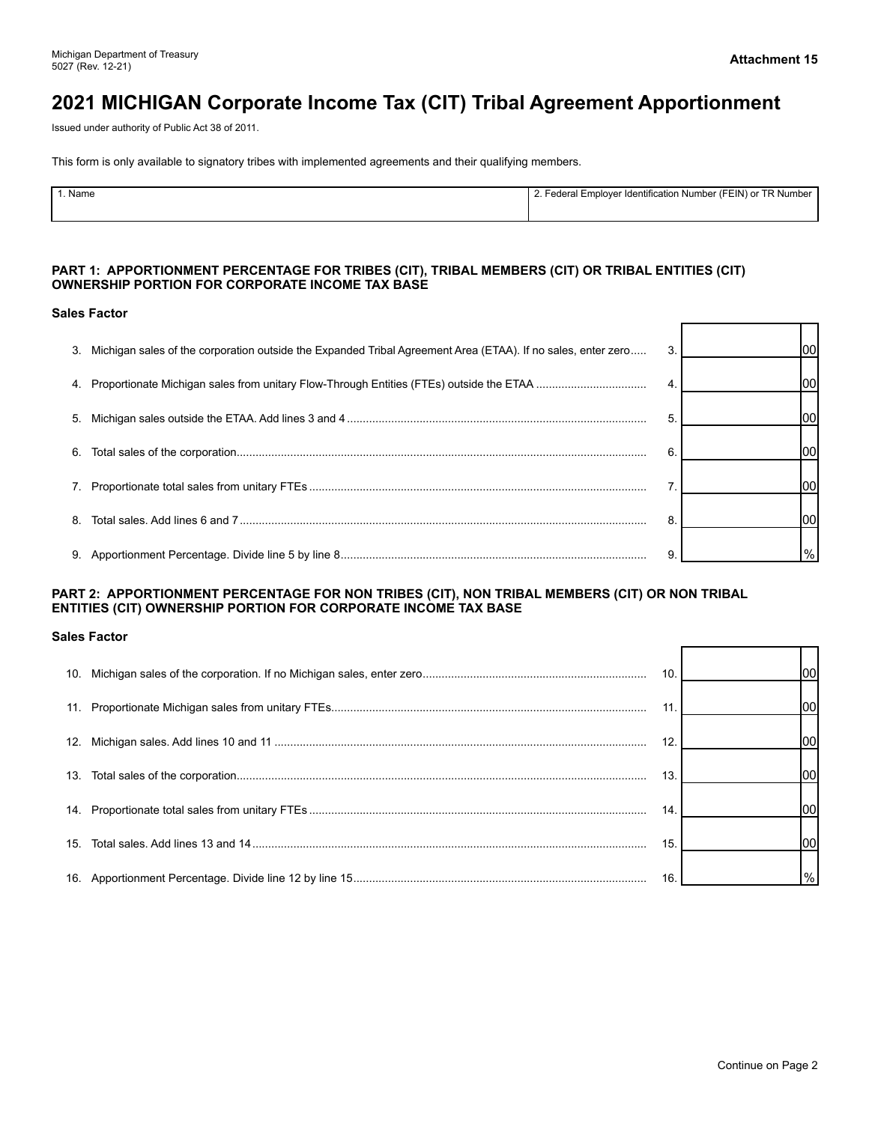$\Box$ 

 $\top$ ┑

г

# **2021 MICHIGAN Corporate Income Tax (CIT) Tribal Agreement Apportionment**

Issued under authority of Public Act 38 of 2011.

This form is only available to signatory tribes with implemented agreements and their qualifying members.

| Name | <sup>ㅜㅁ</sup> Number<br>alN) or<br>bloyer Identification Number (FE<br>Lode<br>-mr |
|------|------------------------------------------------------------------------------------|
|      |                                                                                    |
|      |                                                                                    |

#### **PART 1: APPORTIONMENT PERCENTAGE FOR TRIBES (CIT), TRIBAL MEMBERS (CIT) OR TRIBAL ENTITIES (CIT) OWNERSHIP PORTION FOR CORPORATE INCOME TAX BASE**

#### **Sales Factor**

| 3. | Michigan sales of the corporation outside the Expanded Tribal Agreement Area (ETAA). If no sales, enter zero | 3. | lool    |
|----|--------------------------------------------------------------------------------------------------------------|----|---------|
|    |                                                                                                              | 4. | lool    |
| 5. |                                                                                                              | 5. | lool    |
| 6. |                                                                                                              | 6  | lool    |
|    |                                                                                                              |    | lool    |
| 8  |                                                                                                              | 8  | lool    |
|    |                                                                                                              | 9  | $ v_0 $ |

#### **PART 2: APPORTIONMENT PERCENTAGE FOR NON TRIBES (CIT), NON TRIBAL MEMBERS (CIT) OR NON TRIBAL ENTITIES (CIT) OWNERSHIP PORTION FOR CORPORATE INCOME TAX BASE**

#### **Sales Factor**

|  | 10.             | lool          |
|--|-----------------|---------------|
|  | 11              | lool          |
|  | 12 <sub>1</sub> | lool          |
|  | 13.             | loo           |
|  | 14              | lool          |
|  | 15.             | 100           |
|  | 16.             | $\frac{9}{6}$ |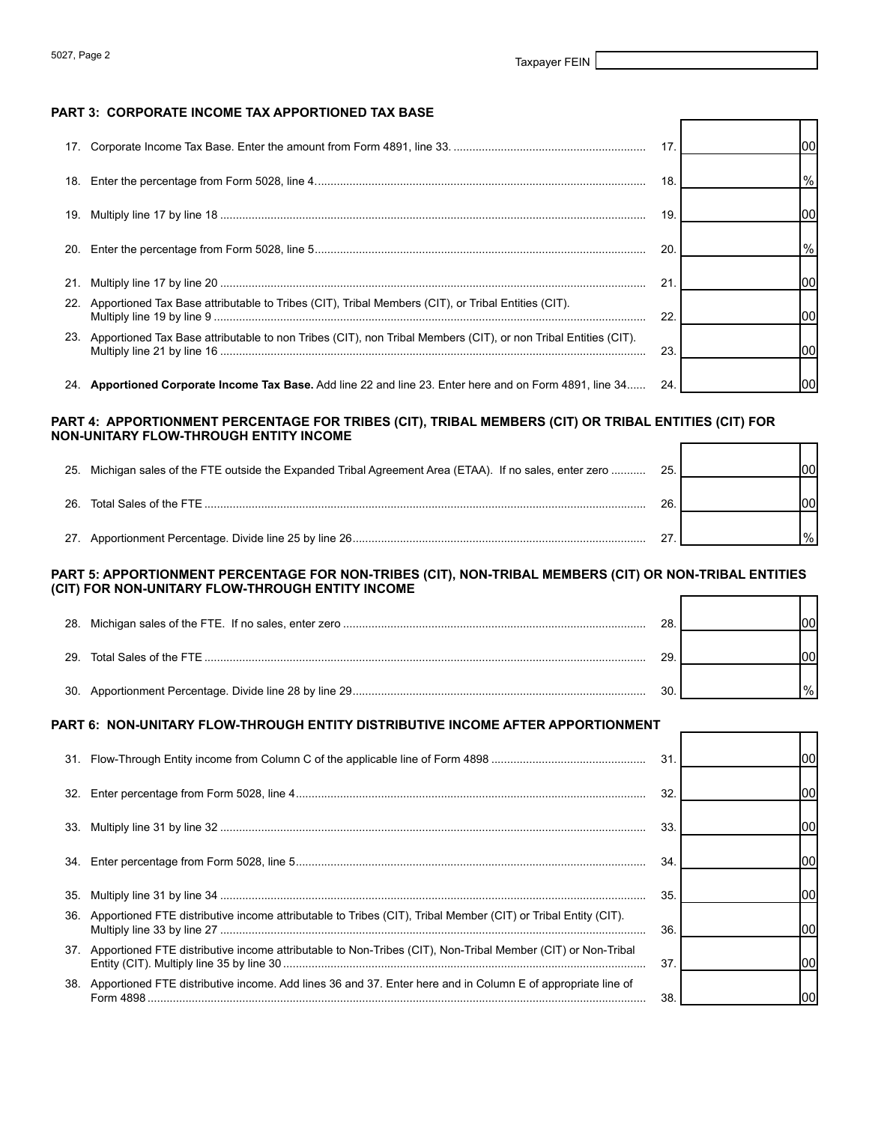Г

г

Τ ┑

П

↽

#### **PART 3: CORPORATE INCOME TAX APPORTIONED TAX BASE**

|     |                                                                                                                    | 17. | lool          |
|-----|--------------------------------------------------------------------------------------------------------------------|-----|---------------|
|     |                                                                                                                    | 18  | $\frac{9}{6}$ |
|     |                                                                                                                    | 19. | 1001          |
| 20. |                                                                                                                    | 20  | $\frac{9}{6}$ |
| 21. |                                                                                                                    | 21  | 100I          |
|     | 22. Apportioned Tax Base attributable to Tribes (CIT), Tribal Members (CIT), or Tribal Entities (CIT).             | 22  | 100           |
|     | 23. Apportioned Tax Base attributable to non Tribes (CIT), non Tribal Members (CIT), or non Tribal Entities (CIT). | 23  | 1001          |
|     | 24. Apportioned Corporate Income Tax Base. Add line 22 and line 23. Enter here and on Form 4891, line 34           | 24. | 100           |

#### **PART 4: APPORTIONMENT PERCENTAGE FOR TRIBES (CIT), TRIBAL MEMBERS (CIT) OR TRIBAL ENTITIES (CIT) FOR NON-UNITARY FLOW-THROUGH ENTITY INCOME**   $\Gamma$

|     | 25. Michigan sales of the FTE outside the Expanded Tribal Agreement Area (ETAA). If no sales, enter zero | 25. | nn            |  |
|-----|----------------------------------------------------------------------------------------------------------|-----|---------------|--|
| 26. | Total Sales of the FTE                                                                                   | 26. |               |  |
| 27. |                                                                                                          |     | $\frac{0}{6}$ |  |

#### **PART 5: APPORTIONMENT PERCENTAGE FOR NON-TRIBES (CIT), NON-TRIBAL MEMBERS (CIT) OR NON-TRIBAL ENTITIES (CIT) FOR NON-UNITARY FLOW-THROUGH ENTITY INCOME**

|  | 28  |  |
|--|-----|--|
|  | 29. |  |
|  |     |  |

#### **PART 6: NON-UNITARY FLOW-THROUGH ENTITY DISTRIBUTIVE INCOME AFTER APPORTIONMENT**

|     |                                                                                                                   | 31 | 100 |
|-----|-------------------------------------------------------------------------------------------------------------------|----|-----|
| 32. |                                                                                                                   | 32 | 100 |
|     |                                                                                                                   | 33 |     |
| 34. |                                                                                                                   | 34 |     |
|     |                                                                                                                   |    |     |
| 35. |                                                                                                                   | 35 | 100 |
|     | 36. Apportioned FTE distributive income attributable to Tribes (CIT), Tribal Member (CIT) or Tribal Entity (CIT). | 36 | 100 |
|     | 37. Apportioned FTE distributive income attributable to Non-Tribes (CIT), Non-Tribal Member (CIT) or Non-Tribal   | 37 | 100 |
| 38. | Apportioned FTE distributive income. Add lines 36 and 37. Enter here and in Column E of appropriate line of       | 38 |     |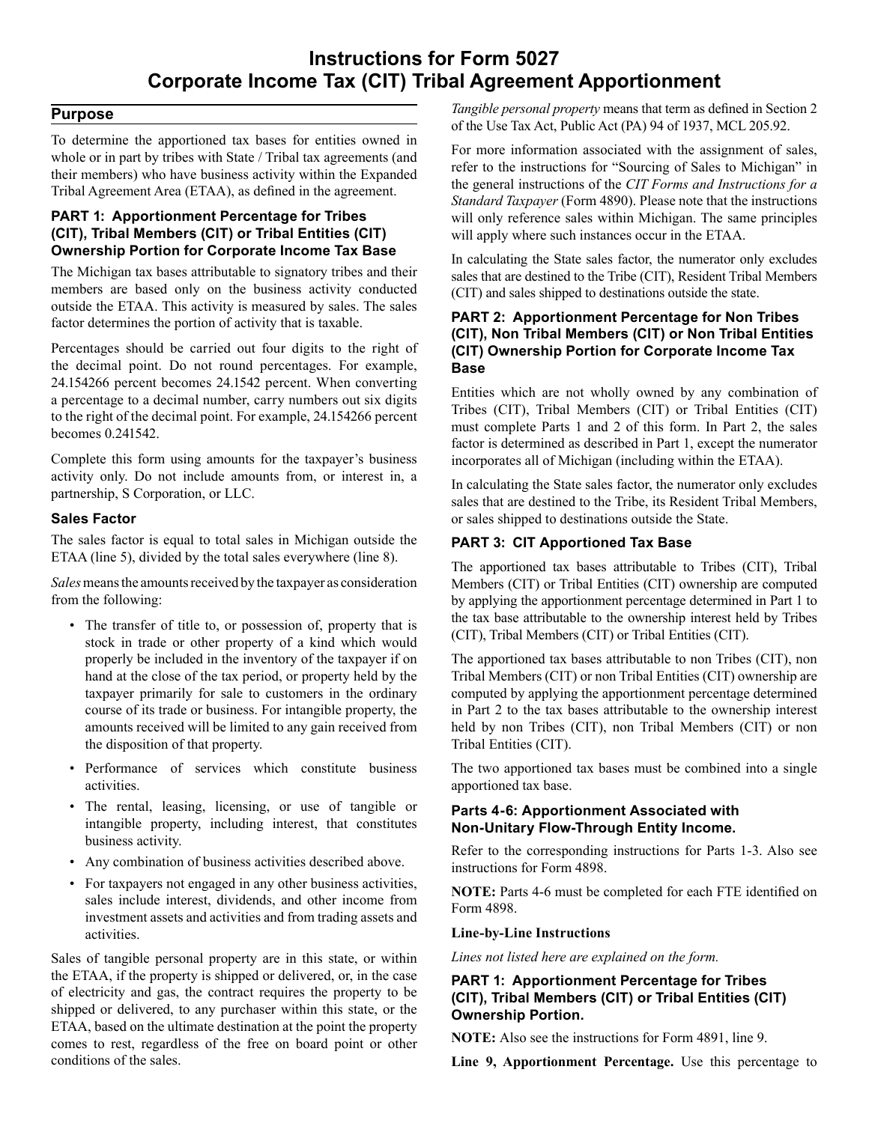## **Instructions for Form 5027 Corporate Income Tax (CIT) Tribal Agreement Apportionment**

### **Purpose**

To determine the apportioned tax bases for entities owned in whole or in part by tribes with State / Tribal tax agreements (and their members) who have business activity within the Expanded Tribal Agreement Area (ETAA), as defined in the agreement.

#### **PART 1: Apportionment Percentage for Tribes (CIT), Tribal Members (CIT) or Tribal Entities (CIT) Ownership Portion for Corporate Income Tax Base**

The Michigan tax bases attributable to signatory tribes and their members are based only on the business activity conducted outside the ETAA. This activity is measured by sales. The sales factor determines the portion of activity that is taxable.

Percentages should be carried out four digits to the right of the decimal point. Do not round percentages. For example, 24.154266 percent becomes 24.1542 percent. When converting a percentage to a decimal number, carry numbers out six digits to the right of the decimal point. For example, 24.154266 percent becomes 0.241542.

Complete this form using amounts for the taxpayer's business activity only. Do not include amounts from, or interest in, a partnership, S Corporation, or LLC.

### **Sales Factor**

The sales factor is equal to total sales in Michigan outside the ETAA (line 5), divided by the total sales everywhere (line 8).

*Sales* means the amounts received by the taxpayer as consideration from the following:

- The transfer of title to, or possession of, property that is stock in trade or other property of a kind which would properly be included in the inventory of the taxpayer if on hand at the close of the tax period, or property held by the taxpayer primarily for sale to customers in the ordinary course of its trade or business. For intangible property, the amounts received will be limited to any gain received from the disposition of that property.
- Performance of services which constitute business activities.
- The rental, leasing, licensing, or use of tangible or intangible property, including interest, that constitutes business activity.
- Any combination of business activities described above.
- For taxpayers not engaged in any other business activities, sales include interest, dividends, and other income from investment assets and activities and from trading assets and activities.

Sales of tangible personal property are in this state, or within the ETAA, if the property is shipped or delivered, or, in the case of electricity and gas, the contract requires the property to be shipped or delivered, to any purchaser within this state, or the ETAA, based on the ultimate destination at the point the property comes to rest, regardless of the free on board point or other conditions of the sales.

 *Tangible personal property* means that term as defined in Section 2 of the Use Tax Act, Public Act (PA) 94 of 1937, MCL 205.92.

For more information associated with the assignment of sales, refer to the instructions for "Sourcing of Sales to Michigan" in the general instructions of the *CIT Forms and Instructions for a Standard Taxpayer* (Form 4890). Please note that the instructions will only reference sales within Michigan. The same principles will apply where such instances occur in the ETAA.

In calculating the State sales factor, the numerator only excludes sales that are destined to the Tribe (CIT), Resident Tribal Members (CIT) and sales shipped to destinations outside the state.

### **PART 2: Apportionment Percentage for Non Tribes (CIT), Non Tribal Members (CIT) or Non Tribal Entities (CIT) Ownership Portion for Corporate Income Tax Base**

Entities which are not wholly owned by any combination of Tribes (CIT), Tribal Members (CIT) or Tribal Entities (CIT) must complete Parts 1 and 2 of this form. In Part 2, the sales factor is determined as described in Part 1, except the numerator incorporates all of Michigan (including within the ETAA).

In calculating the State sales factor, the numerator only excludes sales that are destined to the Tribe, its Resident Tribal Members, or sales shipped to destinations outside the State.

### **PART 3: CIT Apportioned Tax Base**

The apportioned tax bases attributable to Tribes (CIT), Tribal Members (CIT) or Tribal Entities (CIT) ownership are computed by applying the apportionment percentage determined in Part 1 to the tax base attributable to the ownership interest held by Tribes (CIT), Tribal Members (CIT) or Tribal Entities (CIT).

The apportioned tax bases attributable to non Tribes (CIT), non Tribal Members (CIT) or non Tribal Entities (CIT) ownership are computed by applying the apportionment percentage determined in Part 2 to the tax bases attributable to the ownership interest held by non Tribes (CIT), non Tribal Members (CIT) or non Tribal Entities (CIT).

The two apportioned tax bases must be combined into a single apportioned tax base.

### **Parts 4-6: Apportionment Associated with Non-Unitary Flow-Through Entity Income.**

Refer to the corresponding instructions for Parts 1-3. Also see instructions for Form 4898.

**NOTE:** Parts 4-6 must be completed for each FTE identified on Form 4898.

#### **Line-by-Line Instructions**

*Lines not listed here are explained on the form.* 

### **PART 1: Apportionment Percentage for Tribes (CIT), Tribal Members (CIT) or Tribal Entities (CIT) Ownership Portion.**

**NOTE:** Also see the instructions for Form 4891, line 9.

**Line 9, Apportionment Percentage.** Use this percentage to